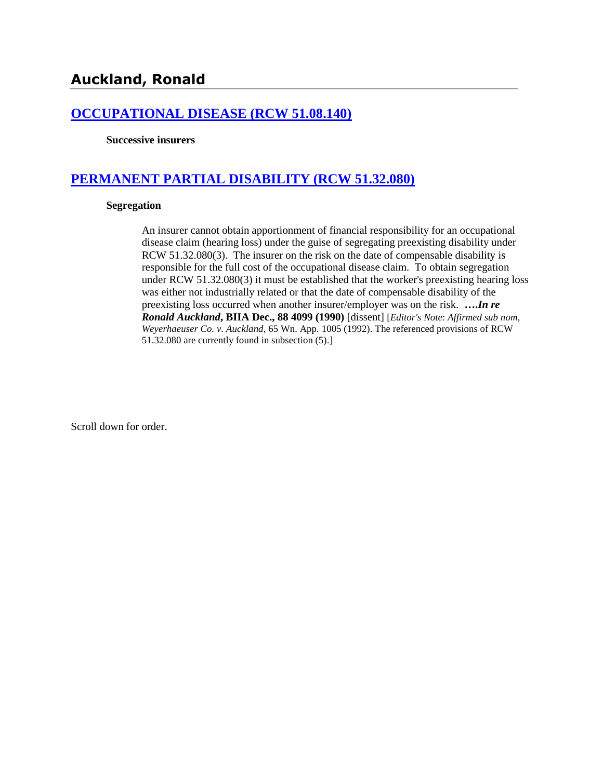## **[OCCUPATIONAL DISEASE \(RCW 51.08.140\)](http://www.biia.wa.gov/SDSubjectIndex.html#OCCUPATIONAL_DISEASE)**

**Successive insurers**

## **[PERMANENT PARTIAL DISABILITY \(RCW 51.32.080\)](http://www.biia.wa.gov/SDSubjectIndex.html#PERMANENT_PARTIAL_DISABILITY)**

#### **Segregation**

An insurer cannot obtain apportionment of financial responsibility for an occupational disease claim (hearing loss) under the guise of segregating preexisting disability under RCW 51.32.080(3). The insurer on the risk on the date of compensable disability is responsible for the full cost of the occupational disease claim. To obtain segregation under RCW 51.32.080(3) it must be established that the worker's preexisting hearing loss was either not industrially related or that the date of compensable disability of the preexisting loss occurred when another insurer/employer was on the risk. **….***In re Ronald Auckland***, BIIA Dec., 88 4099 (1990)** [dissent] [*Editor's Note*: *Affirmed sub nom*, *Weyerhaeuser Co. v. Auckland*, 65 Wn. App. 1005 (1992). The referenced provisions of RCW 51.32.080 are currently found in subsection (5).]

Scroll down for order.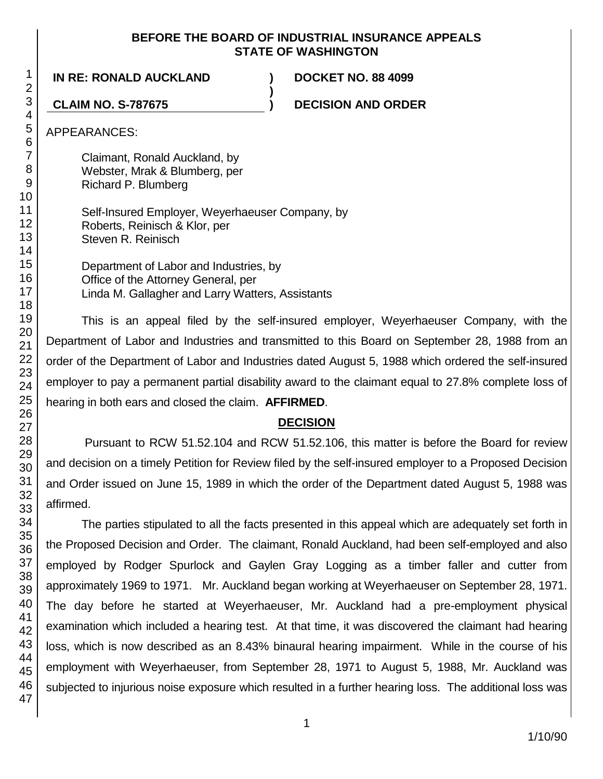## **BEFORE THE BOARD OF INDUSTRIAL INSURANCE APPEALS STATE OF WASHINGTON**

**)**

**IN RE: RONALD AUCKLAND ) DOCKET NO. 88 4099**

**CLAIM NO. S-787675 ) DECISION AND ORDER**

APPEARANCES:

Claimant, Ronald Auckland, by Webster, Mrak & Blumberg, per Richard P. Blumberg

Self-Insured Employer, Weyerhaeuser Company, by Roberts, Reinisch & Klor, per Steven R. Reinisch

Department of Labor and Industries, by Office of the Attorney General, per Linda M. Gallagher and Larry Watters, Assistants

This is an appeal filed by the self-insured employer, Weyerhaeuser Company, with the Department of Labor and Industries and transmitted to this Board on September 28, 1988 from an order of the Department of Labor and Industries dated August 5, 1988 which ordered the self-insured employer to pay a permanent partial disability award to the claimant equal to 27.8% complete loss of hearing in both ears and closed the claim. **AFFIRMED**.

# **DECISION**

Pursuant to RCW 51.52.104 and RCW 51.52.106, this matter is before the Board for review and decision on a timely Petition for Review filed by the self-insured employer to a Proposed Decision and Order issued on June 15, 1989 in which the order of the Department dated August 5, 1988 was affirmed.

The parties stipulated to all the facts presented in this appeal which are adequately set forth in the Proposed Decision and Order. The claimant, Ronald Auckland, had been self-employed and also employed by Rodger Spurlock and Gaylen Gray Logging as a timber faller and cutter from approximately 1969 to 1971. Mr. Auckland began working at Weyerhaeuser on September 28, 1971. The day before he started at Weyerhaeuser, Mr. Auckland had a pre-employment physical examination which included a hearing test. At that time, it was discovered the claimant had hearing loss, which is now described as an 8.43% binaural hearing impairment. While in the course of his employment with Weyerhaeuser, from September 28, 1971 to August 5, 1988, Mr. Auckland was subjected to injurious noise exposure which resulted in a further hearing loss. The additional loss was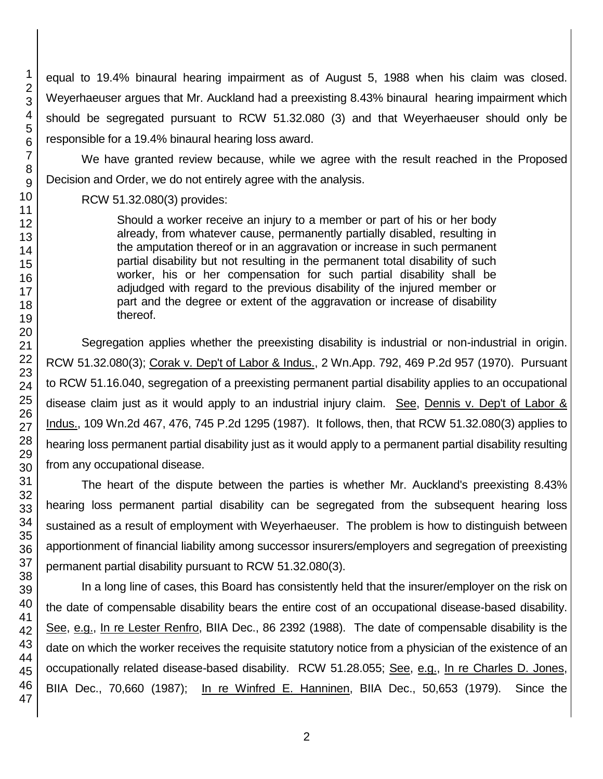equal to 19.4% binaural hearing impairment as of August 5, 1988 when his claim was closed. Weyerhaeuser argues that Mr. Auckland had a preexisting 8.43% binaural hearing impairment which should be segregated pursuant to RCW 51.32.080 (3) and that Weyerhaeuser should only be responsible for a 19.4% binaural hearing loss award.

We have granted review because, while we agree with the result reached in the Proposed Decision and Order, we do not entirely agree with the analysis.

## RCW 51.32.080(3) provides:

Should a worker receive an injury to a member or part of his or her body already, from whatever cause, permanently partially disabled, resulting in the amputation thereof or in an aggravation or increase in such permanent partial disability but not resulting in the permanent total disability of such worker, his or her compensation for such partial disability shall be adjudged with regard to the previous disability of the injured member or part and the degree or extent of the aggravation or increase of disability thereof.

Segregation applies whether the preexisting disability is industrial or non-industrial in origin. RCW 51.32.080(3); Corak v. Dep't of Labor & Indus., 2 Wn.App. 792, 469 P.2d 957 (1970). Pursuant to RCW 51.16.040, segregation of a preexisting permanent partial disability applies to an occupational disease claim just as it would apply to an industrial injury claim. See, Dennis v. Dep't of Labor & Indus., 109 Wn.2d 467, 476, 745 P.2d 1295 (1987). It follows, then, that RCW 51.32.080(3) applies to hearing loss permanent partial disability just as it would apply to a permanent partial disability resulting from any occupational disease.

The heart of the dispute between the parties is whether Mr. Auckland's preexisting 8.43% hearing loss permanent partial disability can be segregated from the subsequent hearing loss sustained as a result of employment with Weyerhaeuser. The problem is how to distinguish between apportionment of financial liability among successor insurers/employers and segregation of preexisting permanent partial disability pursuant to RCW 51.32.080(3).

In a long line of cases, this Board has consistently held that the insurer/employer on the risk on the date of compensable disability bears the entire cost of an occupational disease-based disability. See, e.g., In re Lester Renfro, BIIA Dec., 86 2392 (1988). The date of compensable disability is the date on which the worker receives the requisite statutory notice from a physician of the existence of an occupationally related disease-based disability. RCW 51.28.055; See, e.g., In re Charles D. Jones, BIIA Dec., 70,660 (1987); In re Winfred E. Hanninen, BIIA Dec., 50,653 (1979). Since the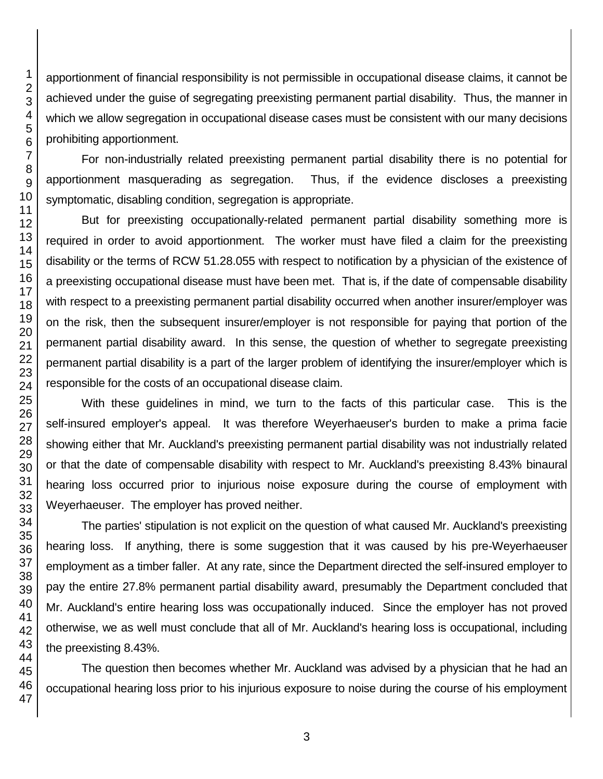apportionment of financial responsibility is not permissible in occupational disease claims, it cannot be achieved under the guise of segregating preexisting permanent partial disability. Thus, the manner in which we allow segregation in occupational disease cases must be consistent with our many decisions prohibiting apportionment.

For non-industrially related preexisting permanent partial disability there is no potential for apportionment masquerading as segregation. Thus, if the evidence discloses a preexisting symptomatic, disabling condition, segregation is appropriate.

But for preexisting occupationally-related permanent partial disability something more is required in order to avoid apportionment. The worker must have filed a claim for the preexisting disability or the terms of RCW 51.28.055 with respect to notification by a physician of the existence of a preexisting occupational disease must have been met. That is, if the date of compensable disability with respect to a preexisting permanent partial disability occurred when another insurer/employer was on the risk, then the subsequent insurer/employer is not responsible for paying that portion of the permanent partial disability award. In this sense, the question of whether to segregate preexisting permanent partial disability is a part of the larger problem of identifying the insurer/employer which is responsible for the costs of an occupational disease claim.

With these guidelines in mind, we turn to the facts of this particular case. This is the self-insured employer's appeal. It was therefore Weyerhaeuser's burden to make a prima facie showing either that Mr. Auckland's preexisting permanent partial disability was not industrially related or that the date of compensable disability with respect to Mr. Auckland's preexisting 8.43% binaural hearing loss occurred prior to injurious noise exposure during the course of employment with Weyerhaeuser. The employer has proved neither.

The parties' stipulation is not explicit on the question of what caused Mr. Auckland's preexisting hearing loss. If anything, there is some suggestion that it was caused by his pre-Weyerhaeuser employment as a timber faller. At any rate, since the Department directed the self-insured employer to pay the entire 27.8% permanent partial disability award, presumably the Department concluded that Mr. Auckland's entire hearing loss was occupationally induced. Since the employer has not proved otherwise, we as well must conclude that all of Mr. Auckland's hearing loss is occupational, including the preexisting 8.43%.

The question then becomes whether Mr. Auckland was advised by a physician that he had an occupational hearing loss prior to his injurious exposure to noise during the course of his employment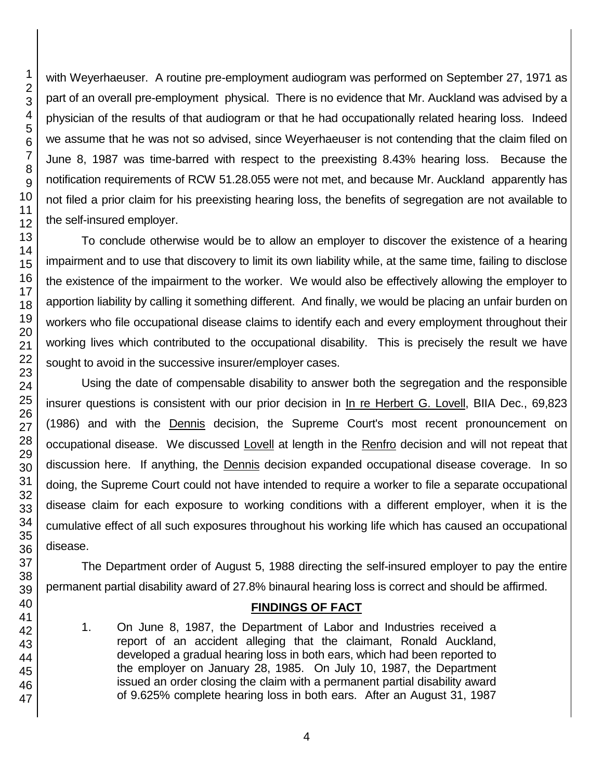with Weyerhaeuser. A routine pre-employment audiogram was performed on September 27, 1971 as part of an overall pre-employment physical. There is no evidence that Mr. Auckland was advised by a physician of the results of that audiogram or that he had occupationally related hearing loss. Indeed we assume that he was not so advised, since Weyerhaeuser is not contending that the claim filed on June 8, 1987 was time-barred with respect to the preexisting 8.43% hearing loss. Because the notification requirements of RCW 51.28.055 were not met, and because Mr. Auckland apparently has not filed a prior claim for his preexisting hearing loss, the benefits of segregation are not available to the self-insured employer.

To conclude otherwise would be to allow an employer to discover the existence of a hearing impairment and to use that discovery to limit its own liability while, at the same time, failing to disclose the existence of the impairment to the worker. We would also be effectively allowing the employer to apportion liability by calling it something different. And finally, we would be placing an unfair burden on workers who file occupational disease claims to identify each and every employment throughout their working lives which contributed to the occupational disability. This is precisely the result we have sought to avoid in the successive insurer/employer cases.

Using the date of compensable disability to answer both the segregation and the responsible insurer questions is consistent with our prior decision in In re Herbert G. Lovell, BIIA Dec., 69,823 (1986) and with the Dennis decision, the Supreme Court's most recent pronouncement on occupational disease. We discussed Lovell at length in the Renfro decision and will not repeat that discussion here. If anything, the Dennis decision expanded occupational disease coverage. In so doing, the Supreme Court could not have intended to require a worker to file a separate occupational disease claim for each exposure to working conditions with a different employer, when it is the cumulative effect of all such exposures throughout his working life which has caused an occupational disease.

The Department order of August 5, 1988 directing the self-insured employer to pay the entire permanent partial disability award of 27.8% binaural hearing loss is correct and should be affirmed.

## **FINDINGS OF FACT**

1. On June 8, 1987, the Department of Labor and Industries received a report of an accident alleging that the claimant, Ronald Auckland, developed a gradual hearing loss in both ears, which had been reported to the employer on January 28, 1985. On July 10, 1987, the Department issued an order closing the claim with a permanent partial disability award of 9.625% complete hearing loss in both ears. After an August 31, 1987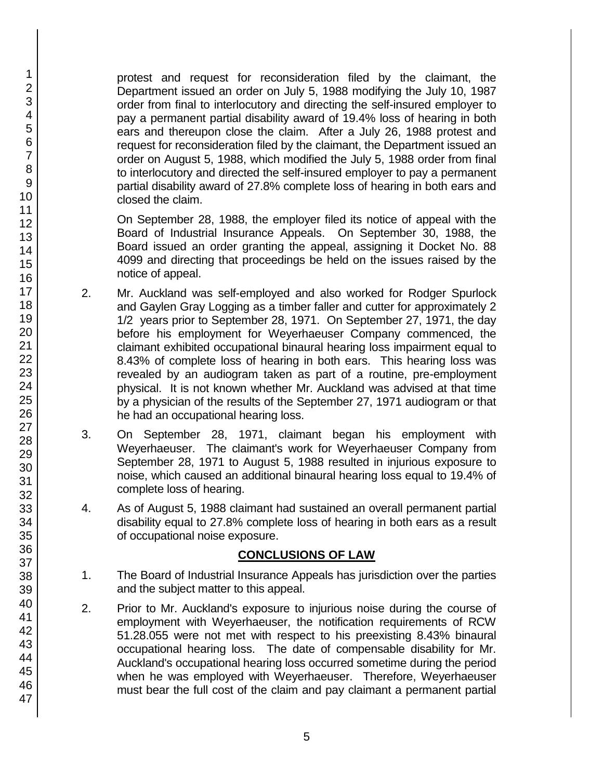protest and request for reconsideration filed by the claimant, the Department issued an order on July 5, 1988 modifying the July 10, 1987 order from final to interlocutory and directing the self-insured employer to pay a permanent partial disability award of 19.4% loss of hearing in both ears and thereupon close the claim. After a July 26, 1988 protest and request for reconsideration filed by the claimant, the Department issued an order on August 5, 1988, which modified the July 5, 1988 order from final to interlocutory and directed the self-insured employer to pay a permanent partial disability award of 27.8% complete loss of hearing in both ears and closed the claim.

On September 28, 1988, the employer filed its notice of appeal with the Board of Industrial Insurance Appeals. On September 30, 1988, the Board issued an order granting the appeal, assigning it Docket No. 88 4099 and directing that proceedings be held on the issues raised by the notice of appeal.

- 2. Mr. Auckland was self-employed and also worked for Rodger Spurlock and Gaylen Gray Logging as a timber faller and cutter for approximately 2 1/2 years prior to September 28, 1971. On September 27, 1971, the day before his employment for Weyerhaeuser Company commenced, the claimant exhibited occupational binaural hearing loss impairment equal to 8.43% of complete loss of hearing in both ears. This hearing loss was revealed by an audiogram taken as part of a routine, pre-employment physical. It is not known whether Mr. Auckland was advised at that time by a physician of the results of the September 27, 1971 audiogram or that he had an occupational hearing loss.
- 3. On September 28, 1971, claimant began his employment with Weyerhaeuser. The claimant's work for Weyerhaeuser Company from September 28, 1971 to August 5, 1988 resulted in injurious exposure to noise, which caused an additional binaural hearing loss equal to 19.4% of complete loss of hearing.
- 4. As of August 5, 1988 claimant had sustained an overall permanent partial disability equal to 27.8% complete loss of hearing in both ears as a result of occupational noise exposure.

## **CONCLUSIONS OF LAW**

- 1. The Board of Industrial Insurance Appeals has jurisdiction over the parties and the subject matter to this appeal.
- 2. Prior to Mr. Auckland's exposure to injurious noise during the course of employment with Weyerhaeuser, the notification requirements of RCW 51.28.055 were not met with respect to his preexisting 8.43% binaural occupational hearing loss. The date of compensable disability for Mr. Auckland's occupational hearing loss occurred sometime during the period when he was employed with Weyerhaeuser. Therefore, Weyerhaeuser must bear the full cost of the claim and pay claimant a permanent partial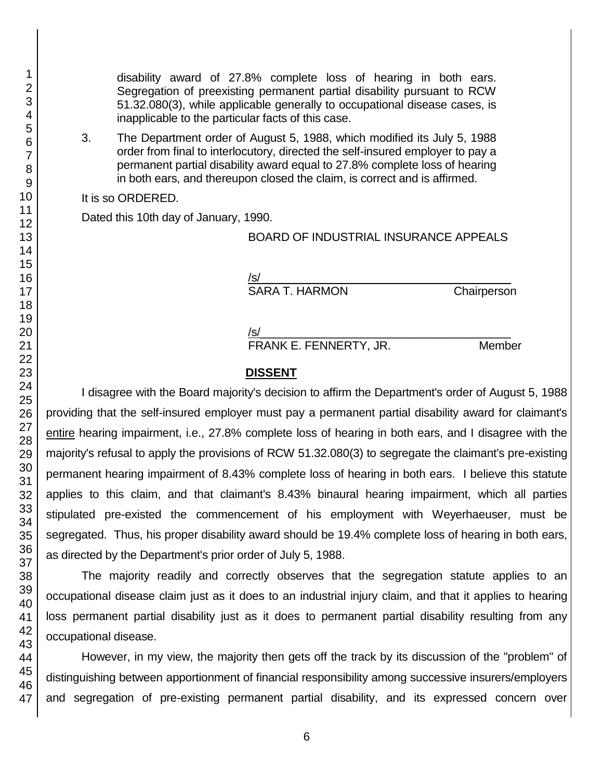disability award of 27.8% complete loss of hearing in both ears. Segregation of preexisting permanent partial disability pursuant to RCW 51.32.080(3), while applicable generally to occupational disease cases, is inapplicable to the particular facts of this case.

3. The Department order of August 5, 1988, which modified its July 5, 1988 order from final to interlocutory, directed the self-insured employer to pay a permanent partial disability award equal to 27.8% complete loss of hearing in both ears, and thereupon closed the claim, is correct and is affirmed.

It is so ORDERED.

Dated this 10th day of January, 1990.

BOARD OF INDUSTRIAL INSURANCE APPEALS

/s/  $\,$ SARA T. HARMON Chairperson

/s/  $\,$ 

FRANK E. FENNERTY, JR. Member

#### **DISSENT**

I disagree with the Board majority's decision to affirm the Department's order of August 5, 1988 providing that the self-insured employer must pay a permanent partial disability award for claimant's entire hearing impairment, i.e., 27.8% complete loss of hearing in both ears, and I disagree with the majority's refusal to apply the provisions of RCW 51.32.080(3) to segregate the claimant's pre-existing permanent hearing impairment of 8.43% complete loss of hearing in both ears. I believe this statute applies to this claim, and that claimant's 8.43% binaural hearing impairment, which all parties stipulated pre-existed the commencement of his employment with Weyerhaeuser, must be segregated. Thus, his proper disability award should be 19.4% complete loss of hearing in both ears, as directed by the Department's prior order of July 5, 1988.

The majority readily and correctly observes that the segregation statute applies to an occupational disease claim just as it does to an industrial injury claim, and that it applies to hearing loss permanent partial disability just as it does to permanent partial disability resulting from any occupational disease.

However, in my view, the majority then gets off the track by its discussion of the "problem" of distinguishing between apportionment of financial responsibility among successive insurers/employers and segregation of pre-existing permanent partial disability, and its expressed concern over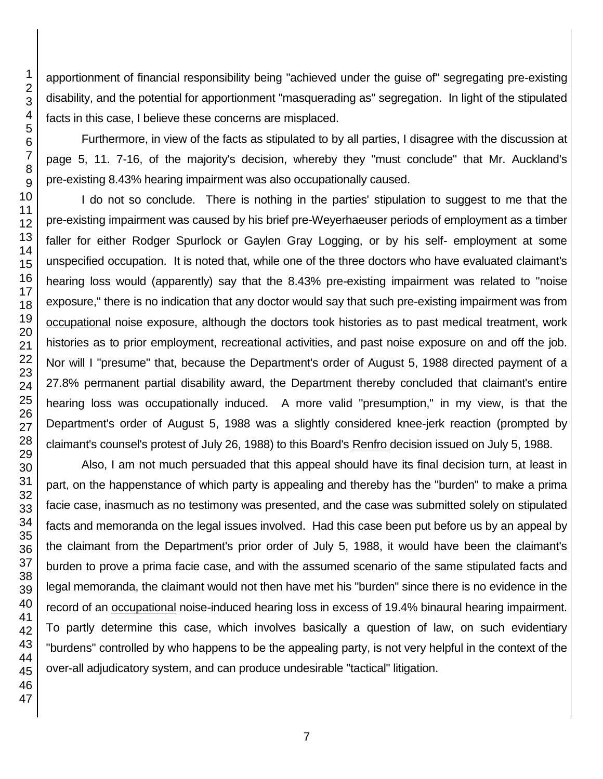apportionment of financial responsibility being "achieved under the guise of" segregating pre-existing disability, and the potential for apportionment "masquerading as" segregation. In light of the stipulated facts in this case, I believe these concerns are misplaced.

Furthermore, in view of the facts as stipulated to by all parties, I disagree with the discussion at page 5, 11. 7-16, of the majority's decision, whereby they "must conclude" that Mr. Auckland's pre-existing 8.43% hearing impairment was also occupationally caused.

I do not so conclude. There is nothing in the parties' stipulation to suggest to me that the pre-existing impairment was caused by his brief pre-Weyerhaeuser periods of employment as a timber faller for either Rodger Spurlock or Gaylen Gray Logging, or by his self- employment at some unspecified occupation. It is noted that, while one of the three doctors who have evaluated claimant's hearing loss would (apparently) say that the 8.43% pre-existing impairment was related to "noise exposure," there is no indication that any doctor would say that such pre-existing impairment was from occupational noise exposure, although the doctors took histories as to past medical treatment, work histories as to prior employment, recreational activities, and past noise exposure on and off the job. Nor will I "presume" that, because the Department's order of August 5, 1988 directed payment of a 27.8% permanent partial disability award, the Department thereby concluded that claimant's entire hearing loss was occupationally induced. A more valid "presumption," in my view, is that the Department's order of August 5, 1988 was a slightly considered knee-jerk reaction (prompted by claimant's counsel's protest of July 26, 1988) to this Board's Renfro decision issued on July 5, 1988.

Also, I am not much persuaded that this appeal should have its final decision turn, at least in part, on the happenstance of which party is appealing and thereby has the "burden" to make a prima facie case, inasmuch as no testimony was presented, and the case was submitted solely on stipulated facts and memoranda on the legal issues involved. Had this case been put before us by an appeal by the claimant from the Department's prior order of July 5, 1988, it would have been the claimant's burden to prove a prima facie case, and with the assumed scenario of the same stipulated facts and legal memoranda, the claimant would not then have met his "burden" since there is no evidence in the record of an occupational noise-induced hearing loss in excess of 19.4% binaural hearing impairment. To partly determine this case, which involves basically a question of law, on such evidentiary "burdens" controlled by who happens to be the appealing party, is not very helpful in the context of the over-all adjudicatory system, and can produce undesirable "tactical" litigation.